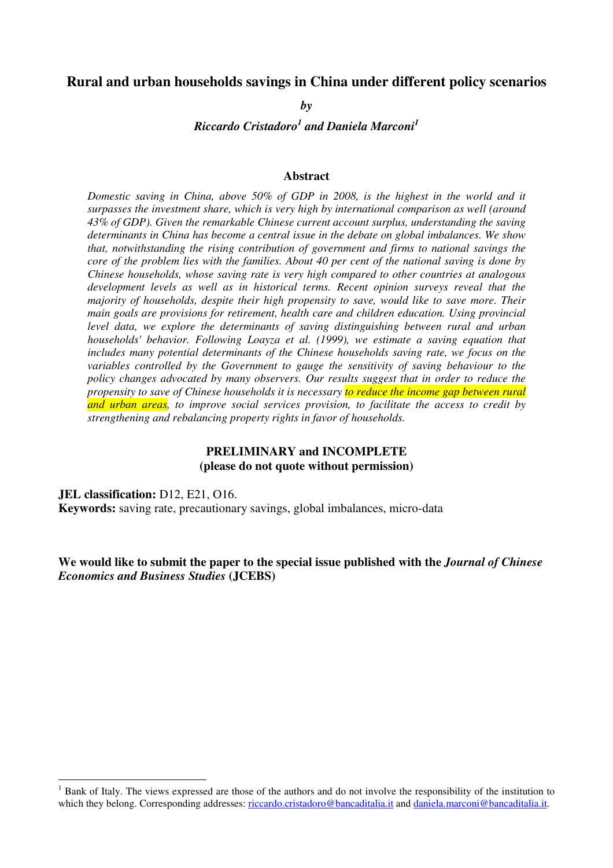## **Rural and urban households savings in China under different policy scenarios**

*by* 

*Riccardo Cristadoro<sup>1</sup> and Daniela Marconi<sup>1</sup>*

#### **Abstract**

*Domestic saving in China, above 50% of GDP in 2008, is the highest in the world and it surpasses the investment share, which is very high by international comparison as well (around 43% of GDP). Given the remarkable Chinese current account surplus, understanding the saving determinants in China has become a central issue in the debate on global imbalances. We show that, notwithstanding the rising contribution of government and firms to national savings the core of the problem lies with the families. About 40 per cent of the national saving is done by Chinese households, whose saving rate is very high compared to other countries at analogous development levels as well as in historical terms. Recent opinion surveys reveal that the majority of households, despite their high propensity to save, would like to save more. Their main goals are provisions for retirement, health care and children education. Using provincial level data, we explore the determinants of saving distinguishing between rural and urban households' behavior. Following Loayza et al. (1999), we estimate a saving equation that includes many potential determinants of the Chinese households saving rate, we focus on the variables controlled by the Government to gauge the sensitivity of saving behaviour to the policy changes advocated by many observers. Our results suggest that in order to reduce the propensity to save of Chinese households it is necessary to reduce the income gap between rural and urban areas, to improve social services provision, to facilitate the access to credit by strengthening and rebalancing property rights in favor of households.* 

## **PRELIMINARY and INCOMPLETE (please do not quote without permission)**

## **JEL classification:** D12, E21, O16.

 $\overline{a}$ 

**Keywords:** saving rate, precautionary savings, global imbalances, micro-data

## **We would like to submit the paper to the special issue published with the** *Journal of Chinese Economics and Business Studies* **(JCEBS)**

<sup>1</sup> Bank of Italy. The views expressed are those of the authors and do not involve the responsibility of the institution to which they belong. Corresponding addresses: riccardo.cristadoro@bancaditalia.it and daniela.marconi@bancaditalia.it.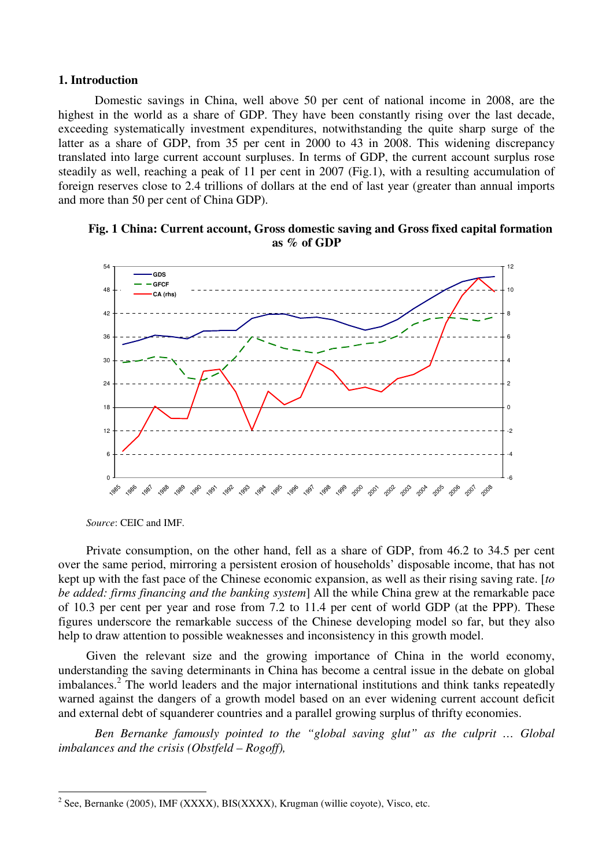#### **1. Introduction**

Domestic savings in China, well above 50 per cent of national income in 2008, are the highest in the world as a share of GDP. They have been constantly rising over the last decade, exceeding systematically investment expenditures, notwithstanding the quite sharp surge of the latter as a share of GDP, from 35 per cent in 2000 to 43 in 2008. This widening discrepancy translated into large current account surpluses. In terms of GDP, the current account surplus rose steadily as well, reaching a peak of 11 per cent in 2007 (Fig.1), with a resulting accumulation of foreign reserves close to 2.4 trillions of dollars at the end of last year (greater than annual imports and more than 50 per cent of China GDP).





*Source*: CEIC and IMF.

 $\overline{a}$ 

Private consumption, on the other hand, fell as a share of GDP, from 46.2 to 34.5 per cent over the same period, mirroring a persistent erosion of households' disposable income, that has not kept up with the fast pace of the Chinese economic expansion, as well as their rising saving rate. [*to be added: firms financing and the banking system*] All the while China grew at the remarkable pace of 10.3 per cent per year and rose from 7.2 to 11.4 per cent of world GDP (at the PPP). These figures underscore the remarkable success of the Chinese developing model so far, but they also help to draw attention to possible weaknesses and inconsistency in this growth model.

Given the relevant size and the growing importance of China in the world economy, understanding the saving determinants in China has become a central issue in the debate on global imbalances.<sup>2</sup> The world leaders and the major international institutions and think tanks repeatedly warned against the dangers of a growth model based on an ever widening current account deficit and external debt of squanderer countries and a parallel growing surplus of thrifty economies.

*Ben Bernanke famously pointed to the "global saving glut" as the culprit … Global imbalances and the crisis (Obstfeld – Rogoff),* 

 $2^2$  See, Bernanke (2005), IMF (XXXX), BIS(XXXX), Krugman (willie coyote), Visco, etc.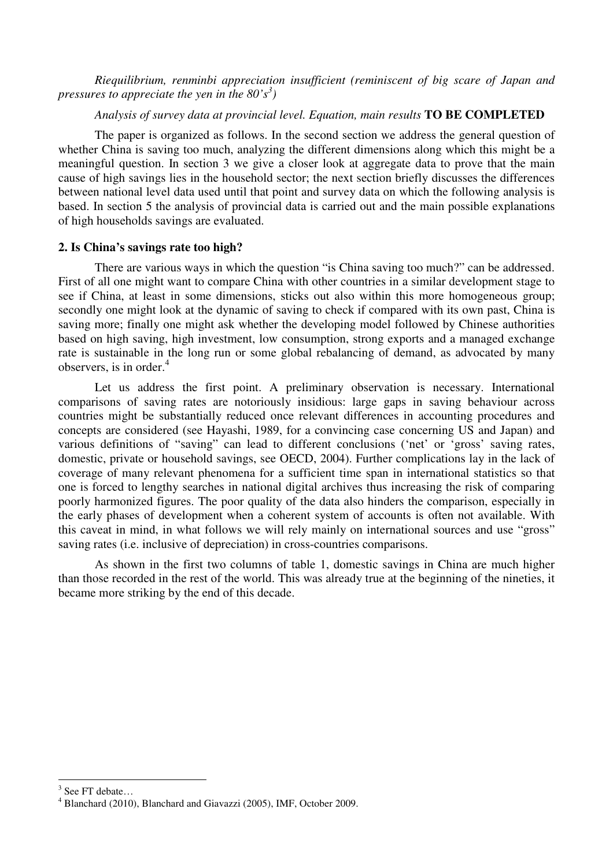*Riequilibrium, renminbi appreciation insufficient (reminiscent of big scare of Japan and pressures to appreciate the yen in the 80's<sup>3</sup> )* 

## *Analysis of survey data at provincial level. Equation, main results* **TO BE COMPLETED**

The paper is organized as follows. In the second section we address the general question of whether China is saving too much, analyzing the different dimensions along which this might be a meaningful question. In section 3 we give a closer look at aggregate data to prove that the main cause of high savings lies in the household sector; the next section briefly discusses the differences between national level data used until that point and survey data on which the following analysis is based. In section 5 the analysis of provincial data is carried out and the main possible explanations of high households savings are evaluated.

#### **2. Is China's savings rate too high?**

There are various ways in which the question "is China saving too much?" can be addressed. First of all one might want to compare China with other countries in a similar development stage to see if China, at least in some dimensions, sticks out also within this more homogeneous group; secondly one might look at the dynamic of saving to check if compared with its own past, China is saving more; finally one might ask whether the developing model followed by Chinese authorities based on high saving, high investment, low consumption, strong exports and a managed exchange rate is sustainable in the long run or some global rebalancing of demand, as advocated by many observers, is in order. $4$ 

Let us address the first point. A preliminary observation is necessary. International comparisons of saving rates are notoriously insidious: large gaps in saving behaviour across countries might be substantially reduced once relevant differences in accounting procedures and concepts are considered (see Hayashi, 1989, for a convincing case concerning US and Japan) and various definitions of "saving" can lead to different conclusions ('net' or 'gross' saving rates, domestic, private or household savings, see OECD, 2004). Further complications lay in the lack of coverage of many relevant phenomena for a sufficient time span in international statistics so that one is forced to lengthy searches in national digital archives thus increasing the risk of comparing poorly harmonized figures. The poor quality of the data also hinders the comparison, especially in the early phases of development when a coherent system of accounts is often not available. With this caveat in mind, in what follows we will rely mainly on international sources and use "gross" saving rates (i.e. inclusive of depreciation) in cross-countries comparisons.

As shown in the first two columns of table 1, domestic savings in China are much higher than those recorded in the rest of the world. This was already true at the beginning of the nineties, it became more striking by the end of this decade.

 $\overline{a}$ 

 $3$  See FT debate...

<sup>4</sup> Blanchard (2010), Blanchard and Giavazzi (2005), IMF, October 2009.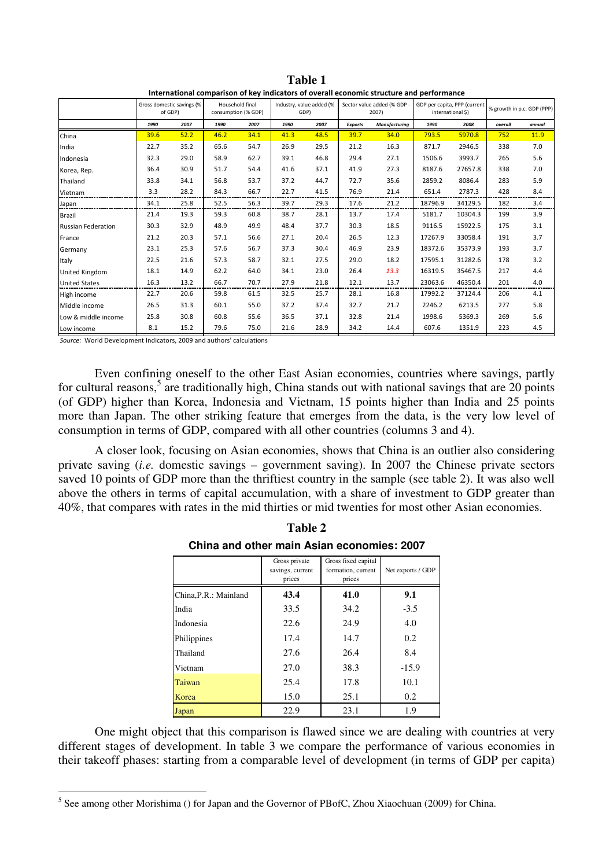|                           | Gross domestic savings (%<br>of GDP) |      | Household final<br>consumption (% GDP) |      | Industry, value added (%<br>GDP) |      | Sector value added (% GDP -<br>2007) |               | GDP per capita, PPP (current<br>international \$) |         | % growth in p.c. GDP (PPP) |        |
|---------------------------|--------------------------------------|------|----------------------------------------|------|----------------------------------|------|--------------------------------------|---------------|---------------------------------------------------|---------|----------------------------|--------|
|                           | 1990                                 | 2007 | 1990                                   | 2007 | 1990                             | 2007 | <b>Exports</b>                       | Manufacturing | 1990                                              | 2008    | overall                    | annual |
| China                     | 39.6                                 | 52.2 | 46.2                                   | 34.1 | 41.3                             | 48.5 | 39.7                                 | 34.0          | 793.5                                             | 5970.8  | 752                        | 11.9   |
| India                     | 22.7                                 | 35.2 | 65.6                                   | 54.7 | 26.9                             | 29.5 | 21.2                                 | 16.3          | 871.7                                             | 2946.5  | 338                        | 7.0    |
| Indonesia                 | 32.3                                 | 29.0 | 58.9                                   | 62.7 | 39.1                             | 46.8 | 29.4                                 | 27.1          | 1506.6                                            | 3993.7  | 265                        | 5.6    |
| Korea, Rep.               | 36.4                                 | 30.9 | 51.7                                   | 54.4 | 41.6                             | 37.1 | 41.9                                 | 27.3          | 8187.6                                            | 27657.8 | 338                        | 7.0    |
| Thailand                  | 33.8                                 | 34.1 | 56.8                                   | 53.7 | 37.2                             | 44.7 | 72.7                                 | 35.6          | 2859.2                                            | 8086.4  | 283                        | 5.9    |
| Vietnam                   | 3.3                                  | 28.2 | 84.3                                   | 66.7 | 22.7                             | 41.5 | 76.9                                 | 21.4          | 651.4                                             | 2787.3  | 428                        | 8.4    |
| Japan                     | 34.1                                 | 25.8 | 52.5                                   | 56.3 | 39.7                             | 29.3 | 17.6                                 | 21.2          | 18796.9                                           | 34129.5 | 182                        | 3.4    |
| Brazil                    | 21.4                                 | 19.3 | 59.3                                   | 60.8 | 38.7                             | 28.1 | 13.7                                 | 17.4          | 5181.7                                            | 10304.3 | 199                        | 3.9    |
| <b>Russian Federation</b> | 30.3                                 | 32.9 | 48.9                                   | 49.9 | 48.4                             | 37.7 | 30.3                                 | 18.5          | 9116.5                                            | 15922.5 | 175                        | 3.1    |
| France                    | 21.2                                 | 20.3 | 57.1                                   | 56.6 | 27.1                             | 20.4 | 26.5                                 | 12.3          | 17267.9                                           | 33058.4 | 191                        | 3.7    |
| Germany                   | 23.1                                 | 25.3 | 57.6                                   | 56.7 | 37.3                             | 30.4 | 46.9                                 | 23.9          | 18372.6                                           | 35373.9 | 193                        | 3.7    |
| Italy                     | 22.5                                 | 21.6 | 57.3                                   | 58.7 | 32.1                             | 27.5 | 29.0                                 | 18.2          | 17595.1                                           | 31282.6 | 178                        | 3.2    |
| United Kingdom            | 18.1                                 | 14.9 | 62.2                                   | 64.0 | 34.1                             | 23.0 | 26.4                                 | 13.3          | 16319.5                                           | 35467.5 | 217                        | 4.4    |
| <b>United States</b>      | 16.3                                 | 13.2 | 66.7                                   | 70.7 | 27.9                             | 21.8 | 12.1                                 | 13.7          | 23063.6                                           | 46350.4 | 201                        | 4.0    |
| High income               | 22.7                                 | 20.6 | 59.8                                   | 61.5 | 32.5                             | 25.7 | 28.1                                 | 16.8          | 17992.2                                           | 37124.4 | 206                        | 4.1    |
| Middle income             | 26.5                                 | 31.3 | 60.1                                   | 55.0 | 37.2                             | 37.4 | 32.7                                 | 21.7          | 2246.2                                            | 6213.5  | 277                        | 5.8    |
| Low & middle income       | 25.8                                 | 30.8 | 60.8                                   | 55.6 | 36.5                             | 37.1 | 32.8                                 | 21.4          | 1998.6                                            | 5369.3  | 269                        | 5.6    |
| Low income                | 8.1                                  | 15.2 | 79.6                                   | 75.0 | 21.6                             | 28.9 | 34.2                                 | 14.4          | 607.6                                             | 1351.9  | 223                        | 4.5    |

**Table 1**  International comparison of key indicators of overall economic structure and performance

Source: World Development Indicators, 2009 and authors' calculations

Even confining oneself to the other East Asian economies, countries where savings, partly for cultural reasons,<sup>5</sup> are traditionally high, China stands out with national savings that are 20 points (of GDP) higher than Korea, Indonesia and Vietnam, 15 points higher than India and 25 points more than Japan. The other striking feature that emerges from the data, is the very low level of consumption in terms of GDP, compared with all other countries (columns 3 and 4).

A closer look, focusing on Asian economies, shows that China is an outlier also considering private saving (*i.e.* domestic savings – government saving). In 2007 the Chinese private sectors saved 10 points of GDP more than the thriftiest country in the sample (see table 2). It was also well above the others in terms of capital accumulation, with a share of investment to GDP greater than 40%, that compares with rates in the mid thirties or mid twenties for most other Asian economies.

|                       | Gross private<br>savings, current<br>prices | Gross fixed capital<br>formation, current<br>prices | Net exports / GDP |  |
|-----------------------|---------------------------------------------|-----------------------------------------------------|-------------------|--|
| China, P.R.: Mainland | 43.4                                        | 41.0                                                | 9.1               |  |
| India                 | 33.5                                        | 34.2                                                | $-3.5$            |  |
| Indonesia             | 22.6                                        | 24.9                                                | 4.0               |  |
| Philippines           | 17.4                                        | 14.7                                                | 0.2               |  |
| Thailand              | 27.6                                        | 26.4                                                | 8.4               |  |
| Vietnam               | 27.0                                        | 38.3                                                | $-15.9$           |  |
| Taiwan                | 25.4                                        | 17.8                                                | 10.1              |  |
| Korea                 | 15.0                                        | 25.1                                                | 0.2               |  |
| Japan                 | 22.9                                        | 23.1                                                | 1.9               |  |

**Table 2 China and other main Asian economies: 2007**

One might object that this comparison is flawed since we are dealing with countries at very different stages of development. In table 3 we compare the performance of various economies in their takeoff phases: starting from a comparable level of development (in terms of GDP per capita)

<sup>&</sup>lt;sup>5</sup> See among other Morishima () for Japan and the Governor of PBofC, Zhou Xiaochuan (2009) for China.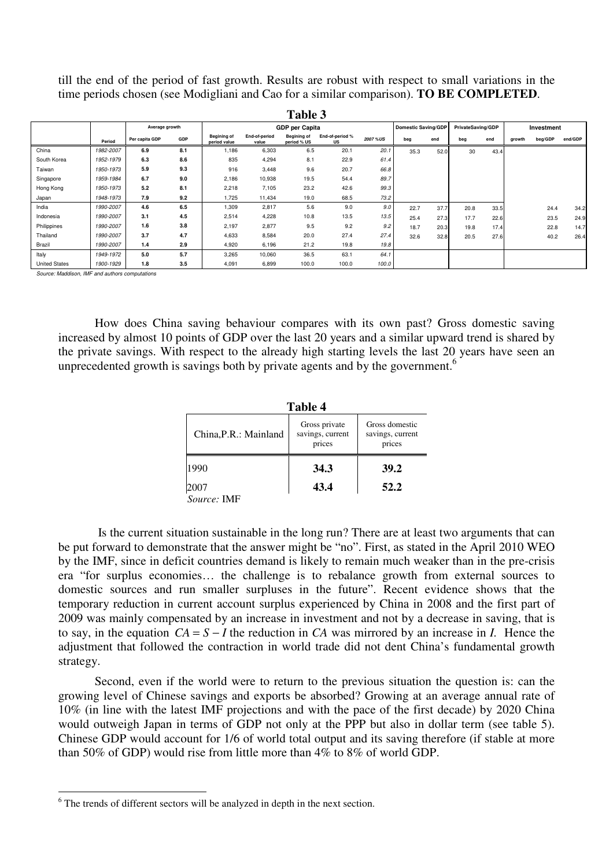till the end of the period of fast growth. Results are robust with respect to small variations in the time periods chosen (see Modigliani and Cao for a similar comparison). **TO BE COMPLETED**.

| Table 3              |           |                |     |                                    |                        |                                   |                       |          |                                                 |      |            |      |        |         |         |
|----------------------|-----------|----------------|-----|------------------------------------|------------------------|-----------------------------------|-----------------------|----------|-------------------------------------------------|------|------------|------|--------|---------|---------|
|                      |           | Average growth |     |                                    |                        | <b>GDP</b> per Capita             |                       |          | <b>Domestic Saving/GDP</b><br>PrivateSaving/GDP |      | Investment |      |        |         |         |
|                      | Period    | Per capita GDP | GDP | <b>Begining of</b><br>period value | End-of-period<br>value | <b>Begining of</b><br>period % US | End-of-period %<br>US | 2007 %US | beg                                             | end  | beg        | end  | growth | beg/GDP | end/GDP |
| China                | 1982-2007 | 6.9            | 8.1 | 1,186                              | 6,303                  | 6.5                               | 20.1                  | 20.1     | 35.3                                            | 52.0 | 30         | 43.4 |        |         |         |
| South Korea          | 1952-1979 | 6.3            | 8.6 | 835                                | 4,294                  | 8.1                               | 22.9                  | 61.4     |                                                 |      |            |      |        |         |         |
| Taiwan               | 1950-1973 | 5.9            | 9.3 | 916                                | 3,448                  | 9.6                               | 20.7                  | 66.8     |                                                 |      |            |      |        |         |         |
| Singapore            | 1959-1984 | 6.7            | 9.0 | 2,186                              | 10,938                 | 19.5                              | 54.4                  | 89.7     |                                                 |      |            |      |        |         |         |
| Hong Kong            | 1950-1973 | 5.2            | 8.1 | 2,218                              | 7,105                  | 23.2                              | 42.6                  | 99.3     |                                                 |      |            |      |        |         |         |
| Japan                | 1948-1973 | 7.9            | 9.2 | 1,725                              | 11,434                 | 19.0                              | 68.5                  | 73.2     |                                                 |      |            |      |        |         |         |
| India                | 1990-2007 | 4.6            | 6.5 | 1,309                              | 2,817                  | 5.6                               | 9.0                   | 9.0      | 22.7                                            | 37.7 | 20.8       | 33.5 |        | 24.4    | 34.2    |
| Indonesia            | 1990-2007 | 3.1            | 4.5 | 2,514                              | 4,228                  | 10.8                              | 13.5                  | 13.5     | 25.4                                            | 27.3 | 17.7       | 22.6 |        | 23.5    | 24.9    |
| Philippines          | 1990-2007 | 1.6            | 3.8 | 2,197                              | 2,877                  | 9.5                               | 9.2                   | 9.2      | 18.7                                            | 20.3 | 19.8       | 17.4 |        | 22.8    | 14.7    |
| Thailand             | 1990-2007 | 3.7            | 4.7 | 4,633                              | 8,584                  | 20.0                              | 27.4                  | 27.4     | 32.6                                            | 32.8 | 20.5       | 27.6 |        | 40.2    | 26.4    |
| Brazil               | 1990-2007 | 1.4            | 2.9 | 4,920                              | 6,196                  | 21.2                              | 19.8                  | 19.8     |                                                 |      |            |      |        |         |         |
| Italy                | 1949-1972 | 5.0            | 5.7 | 3,265                              | 10,060                 | 36.5                              | 63.1                  | 64.1     |                                                 |      |            |      |        |         |         |
| <b>United States</b> | 1900-1929 | 1.8            | 3.5 | 4,091                              | 6,899                  | 100.0                             | 100.0                 | 100.0    |                                                 |      |            |      |        |         |         |

Source: Maddison, IMF and authors computations

 $\overline{a}$ 

How does China saving behaviour compares with its own past? Gross domestic saving increased by almost 10 points of GDP over the last 20 years and a similar upward trend is shared by the private savings. With respect to the already high starting levels the last 20 years have seen an unprecedented growth is savings both by private agents and by the government.<sup>6</sup>

| Table 4               |                                             |                                              |  |  |  |  |  |
|-----------------------|---------------------------------------------|----------------------------------------------|--|--|--|--|--|
| China, P.R.: Mainland | Gross private<br>savings, current<br>prices | Gross domestic<br>savings, current<br>prices |  |  |  |  |  |
| 1990                  | 34.3                                        | 39.2                                         |  |  |  |  |  |
| 2007                  | 43.4                                        | 52.2                                         |  |  |  |  |  |
| Source: IMF           |                                             |                                              |  |  |  |  |  |

 Is the current situation sustainable in the long run? There are at least two arguments that can be put forward to demonstrate that the answer might be "no". First, as stated in the April 2010 WEO by the IMF, since in deficit countries demand is likely to remain much weaker than in the pre-crisis era "for surplus economies… the challenge is to rebalance growth from external sources to domestic sources and run smaller surpluses in the future". Recent evidence shows that the temporary reduction in current account surplus experienced by China in 2008 and the first part of 2009 was mainly compensated by an increase in investment and not by a decrease in saving, that is to say, in the equation *CA* = *S* − *I* the reduction in *CA* was mirrored by an increase in *I.* Hence the adjustment that followed the contraction in world trade did not dent China's fundamental growth strategy.

Second, even if the world were to return to the previous situation the question is: can the growing level of Chinese savings and exports be absorbed? Growing at an average annual rate of 10% (in line with the latest IMF projections and with the pace of the first decade) by 2020 China would outweigh Japan in terms of GDP not only at the PPP but also in dollar term (see table 5). Chinese GDP would account for 1/6 of world total output and its saving therefore (if stable at more than 50% of GDP) would rise from little more than 4% to 8% of world GDP.

 $6$  The trends of different sectors will be analyzed in depth in the next section.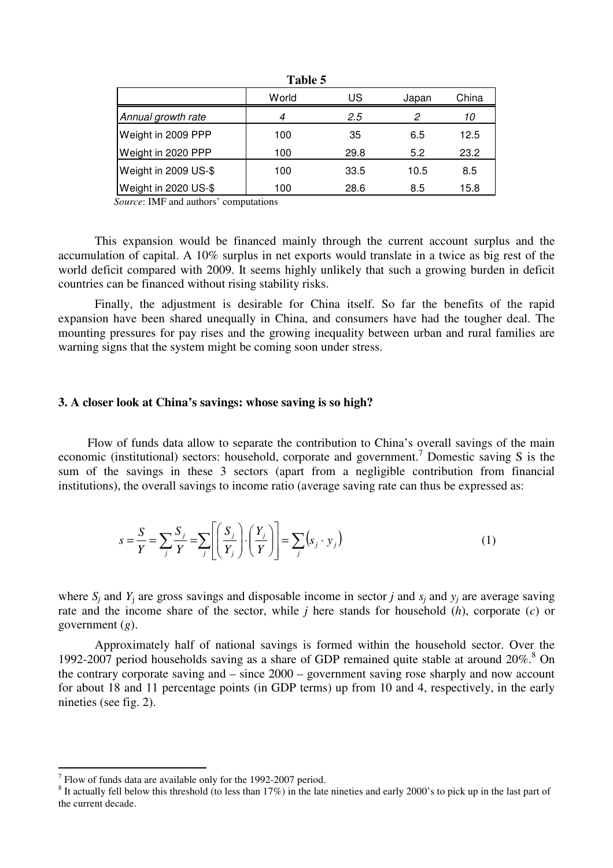|                      | World | US   | Japan | China |
|----------------------|-------|------|-------|-------|
| Annual growth rate   | 4     | 2.5  | 2     | 10    |
| Weight in 2009 PPP   | 100   | 35   | 6.5   | 12.5  |
| Weight in 2020 PPP   | 100   | 29.8 | 5.2   | 23.2  |
| Weight in 2009 US-\$ | 100   | 33.5 | 10.5  | 8.5   |
| Weight in 2020 US-\$ | 100   | 28.6 | 8.5   | 15.8  |

**Table 5** 

*Source*: IMF and authors' computations

This expansion would be financed mainly through the current account surplus and the accumulation of capital. A 10% surplus in net exports would translate in a twice as big rest of the world deficit compared with 2009. It seems highly unlikely that such a growing burden in deficit countries can be financed without rising stability risks.

Finally, the adjustment is desirable for China itself. So far the benefits of the rapid expansion have been shared unequally in China, and consumers have had the tougher deal. The mounting pressures for pay rises and the growing inequality between urban and rural families are warning signs that the system might be coming soon under stress.

## **3. A closer look at China's savings: whose saving is so high?**

Flow of funds data allow to separate the contribution to China's overall savings of the main economic (institutional) sectors: household, corporate and government.<sup>7</sup> Domestic saving S is the sum of the savings in these 3 sectors (apart from a negligible contribution from financial institutions), the overall savings to income ratio (average saving rate can thus be expressed as:

$$
s = \frac{S}{Y} = \sum_{j} \frac{S_{j}}{Y} = \sum_{j} \left[ \left( \frac{S_{j}}{Y_{j}} \right) \cdot \left( \frac{Y_{j}}{Y} \right) \right] = \sum_{j} (s_{j} \cdot y_{j})
$$
(1)

where  $S_j$  and  $Y_j$  are gross savings and disposable income in sector *j* and  $S_j$  and  $y_j$  are average saving rate and the income share of the sector, while *j* here stands for household (*h*), corporate (*c*) or government (*g*).

Approximately half of national savings is formed within the household sector. Over the 1992-2007 period households saving as a share of GDP remained quite stable at around  $20\%$ .<sup>8</sup> On the contrary corporate saving and – since 2000 – government saving rose sharply and now account for about 18 and 11 percentage points (in GDP terms) up from 10 and 4, respectively, in the early nineties (see fig. 2).

 7 Flow of funds data are available only for the 1992-2007 period.

 $8$  It actually fell below this threshold (to less than 17%) in the late nineties and early 2000's to pick up in the last part of the current decade.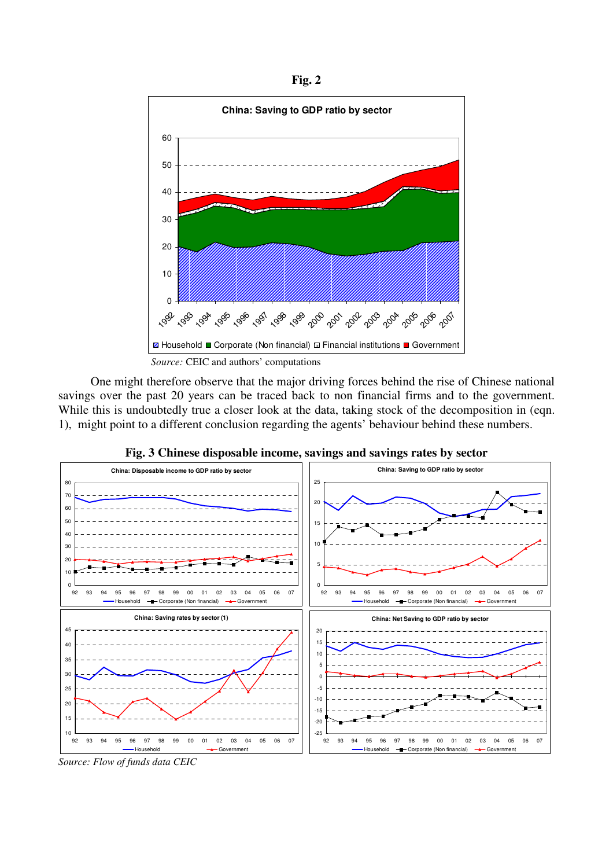**Fig. 2**



 One might therefore observe that the major driving forces behind the rise of Chinese national savings over the past 20 years can be traced back to non financial firms and to the government. While this is undoubtedly true a closer look at the data, taking stock of the decomposition in (eqn. 1), might point to a different conclusion regarding the agents' behaviour behind these numbers.



**Fig. 3 Chinese disposable income, savings and savings rates by sector**

*Source: Flow of funds data CEIC*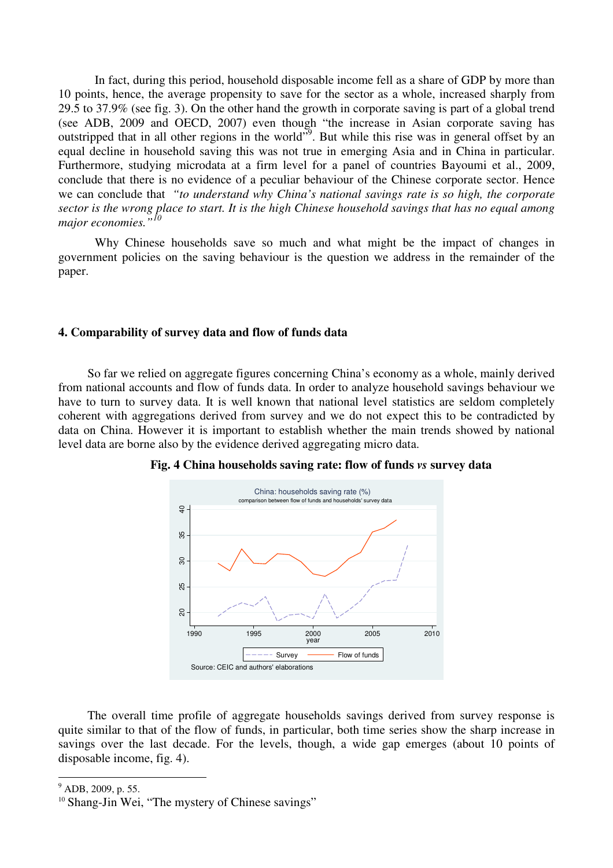In fact, during this period, household disposable income fell as a share of GDP by more than 10 points, hence, the average propensity to save for the sector as a whole, increased sharply from 29.5 to 37.9% (see fig. 3). On the other hand the growth in corporate saving is part of a global trend (see ADB, 2009 and OECD, 2007) even though "the increase in Asian corporate saving has outstripped that in all other regions in the world"<sup>9</sup>. But while this rise was in general offset by an equal decline in household saving this was not true in emerging Asia and in China in particular. Furthermore, studying microdata at a firm level for a panel of countries Bayoumi et al., 2009, conclude that there is no evidence of a peculiar behaviour of the Chinese corporate sector. Hence we can conclude that *"to understand why China's national savings rate is so high, the corporate sector is the wrong place to start. It is the high Chinese household savings that has no equal among major economies."<sup>10</sup>*

Why Chinese households save so much and what might be the impact of changes in government policies on the saving behaviour is the question we address in the remainder of the paper.

## **4. Comparability of survey data and flow of funds data**

So far we relied on aggregate figures concerning China's economy as a whole, mainly derived from national accounts and flow of funds data. In order to analyze household savings behaviour we have to turn to survey data. It is well known that national level statistics are seldom completely coherent with aggregations derived from survey and we do not expect this to be contradicted by data on China. However it is important to establish whether the main trends showed by national level data are borne also by the evidence derived aggregating micro data.



**Fig. 4 China households saving rate: flow of funds** *vs* **survey data** 

The overall time profile of aggregate households savings derived from survey response is quite similar to that of the flow of funds, in particular, both time series show the sharp increase in savings over the last decade. For the levels, though, a wide gap emerges (about 10 points of disposable income, fig. 4).

 $\overline{a}$ 

<sup>&</sup>lt;sup>9</sup> ADB, 2009, p. 55.

<sup>&</sup>lt;sup>10</sup> Shang-Jin Wei, "The mystery of Chinese savings"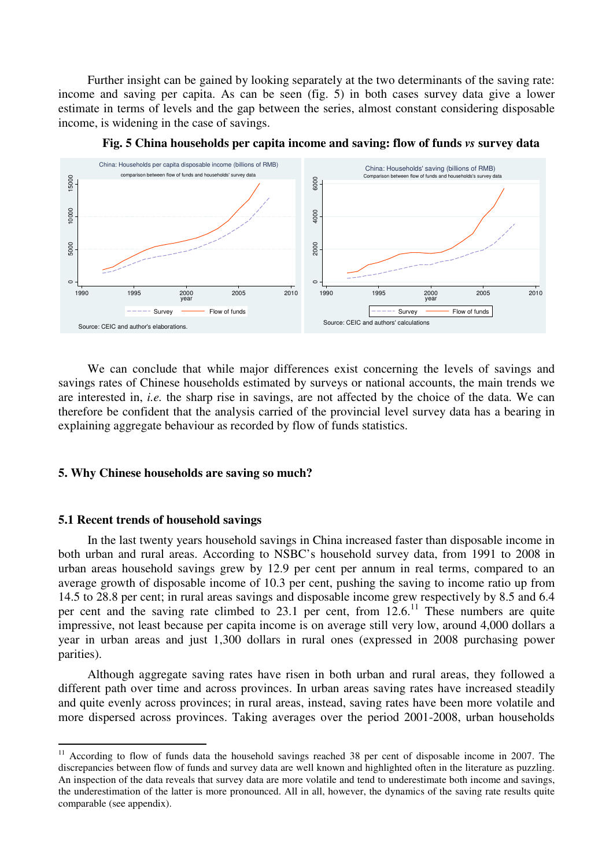Further insight can be gained by looking separately at the two determinants of the saving rate: income and saving per capita. As can be seen (fig. 5) in both cases survey data give a lower estimate in terms of levels and the gap between the series, almost constant considering disposable income, is widening in the case of savings.



**Fig. 5 China households per capita income and saving: flow of funds** *vs* **survey data**

We can conclude that while major differences exist concerning the levels of savings and savings rates of Chinese households estimated by surveys or national accounts, the main trends we are interested in, *i.e.* the sharp rise in savings, are not affected by the choice of the data. We can therefore be confident that the analysis carried of the provincial level survey data has a bearing in explaining aggregate behaviour as recorded by flow of funds statistics.

## **5. Why Chinese households are saving so much?**

#### **5.1 Recent trends of household savings**

 $\overline{a}$ 

In the last twenty years household savings in China increased faster than disposable income in both urban and rural areas. According to NSBC's household survey data, from 1991 to 2008 in urban areas household savings grew by 12.9 per cent per annum in real terms, compared to an average growth of disposable income of 10.3 per cent, pushing the saving to income ratio up from 14.5 to 28.8 per cent; in rural areas savings and disposable income grew respectively by 8.5 and 6.4 per cent and the saving rate climbed to 23.1 per cent, from  $12.6$ <sup>11</sup>. These numbers are quite impressive, not least because per capita income is on average still very low, around 4,000 dollars a year in urban areas and just 1,300 dollars in rural ones (expressed in 2008 purchasing power parities).

Although aggregate saving rates have risen in both urban and rural areas, they followed a different path over time and across provinces. In urban areas saving rates have increased steadily and quite evenly across provinces; in rural areas, instead, saving rates have been more volatile and more dispersed across provinces. Taking averages over the period 2001-2008, urban households

 $11$  According to flow of funds data the household savings reached 38 per cent of disposable income in 2007. The discrepancies between flow of funds and survey data are well known and highlighted often in the literature as puzzling. An inspection of the data reveals that survey data are more volatile and tend to underestimate both income and savings, the underestimation of the latter is more pronounced. All in all, however, the dynamics of the saving rate results quite comparable (see appendix).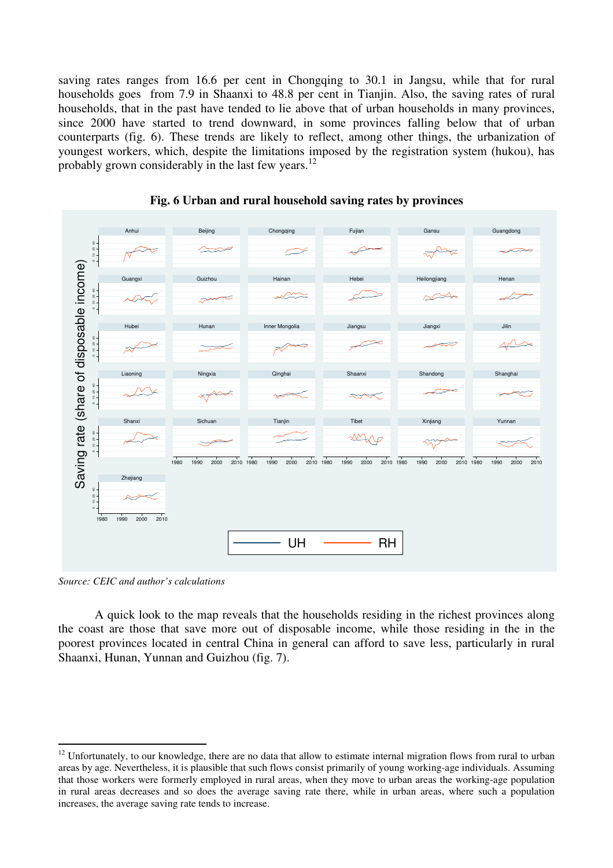saving rates ranges from 16.6 per cent in Chongqing to 30.1 in Jangsu, while that for rural households goes from 7.9 in Shaanxi to 48.8 per cent in Tianjin. Also, the saving rates of rural households, that in the past have tended to lie above that of urban households in many provinces, since 2000 have started to trend downward, in some provinces falling below that of urban counterparts (fig. 6). These trends are likely to reflect, among other things, the urbanization of youngest workers, which, despite the limitations imposed by the registration system (hukou), has probably grown considerably in the last few years.<sup>12</sup>





*Source: CEIC and author's calculations* 

 $\overline{a}$ 

A quick look to the map reveals that the households residing in the richest provinces along the coast are those that save more out of disposable income, while those residing in the in the poorest provinces located in central China in general can afford to save less, particularly in rural Shaanxi, Hunan, Yunnan and Guizhou (fig. 7).

 $12$  Unfortunately, to our knowledge, there are no data that allow to estimate internal migration flows from rural to urban areas by age. Nevertheless, it is plausible that such flows consist primarily of young working-age individuals. Assuming that those workers were formerly employed in rural areas, when they move to urban areas the working-age population in rural areas decreases and so does the average saving rate there, while in urban areas, where such a population increases, the average saving rate tends to increase.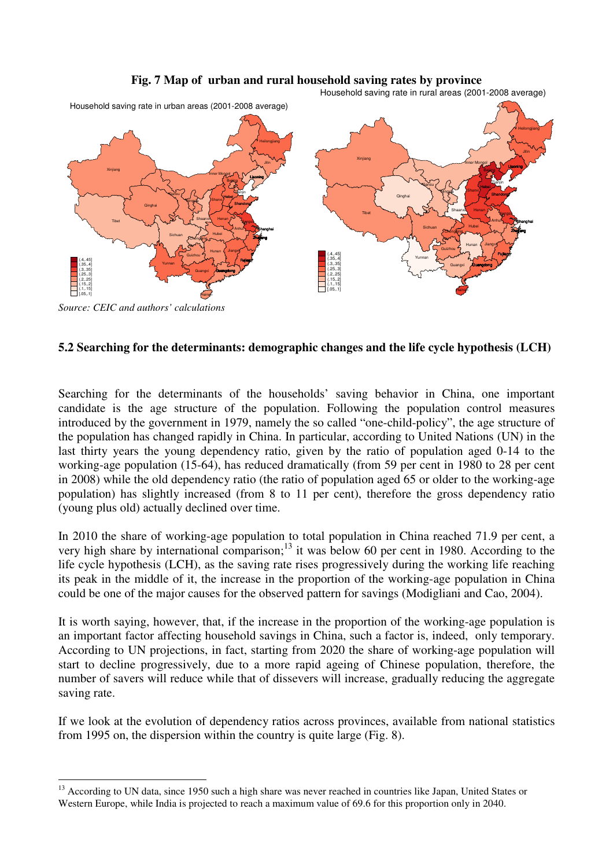## **Fig. 7 Map of urban and rural household saving rates by province**



(.4,.45] (.35,.4] (.3,.35] (.25,.3] (.2,.25] (.15,.2] (.1,.15] [.05,.1]

Household saving rate in rural areas (2001-2008 average)

Chongging

Guizhou

Sichuan

Yunnan

Guangxi Guangdong

Hubei Hunan

Hainan

Fujian

Zhejiang

Jiangxi

*Source: CEIC and authors' calculations* 

(.4,.45] (.35,.4] (.3,.35] (.25,.3] (.2,.25] (.15,.2] (.1,.15] [.05,.1]

 $\overline{a}$ 

## **5.2 Searching for the determinants: demographic changes and the life cycle hypothesis (LCH)**

Anhui

Jiangxi

Fujian

Shanghai

Zhejiang

Chongqing

Guizhou

Sichuan

Yunnan

Guangxi **Guangdong** 

Hubei Hunan

Hainan

Searching for the determinants of the households' saving behavior in China, one important candidate is the age structure of the population. Following the population control measures introduced by the government in 1979, namely the so called "one-child-policy", the age structure of the population has changed rapidly in China. In particular, according to United Nations (UN) in the last thirty years the young dependency ratio, given by the ratio of population aged 0-14 to the working-age population (15-64), has reduced dramatically (from 59 per cent in 1980 to 28 per cent in 2008) while the old dependency ratio (the ratio of population aged 65 or older to the working-age population) has slightly increased (from 8 to 11 per cent), therefore the gross dependency ratio (young plus old) actually declined over time.

In 2010 the share of working-age population to total population in China reached 71.9 per cent, a very high share by international comparison;<sup>13</sup> it was below 60 per cent in 1980. According to the life cycle hypothesis (LCH), as the saving rate rises progressively during the working life reaching its peak in the middle of it, the increase in the proportion of the working-age population in China could be one of the major causes for the observed pattern for savings (Modigliani and Cao, 2004).

It is worth saying, however, that, if the increase in the proportion of the working-age population is an important factor affecting household savings in China, such a factor is, indeed, only temporary. According to UN projections, in fact, starting from 2020 the share of working-age population will start to decline progressively, due to a more rapid ageing of Chinese population, therefore, the number of savers will reduce while that of dissevers will increase, gradually reducing the aggregate saving rate.

If we look at the evolution of dependency ratios across provinces, available from national statistics from 1995 on, the dispersion within the country is quite large (Fig. 8).

<sup>&</sup>lt;sup>13</sup> According to UN data, since 1950 such a high share was never reached in countries like Japan, United States or Western Europe, while India is projected to reach a maximum value of 69.6 for this proportion only in 2040.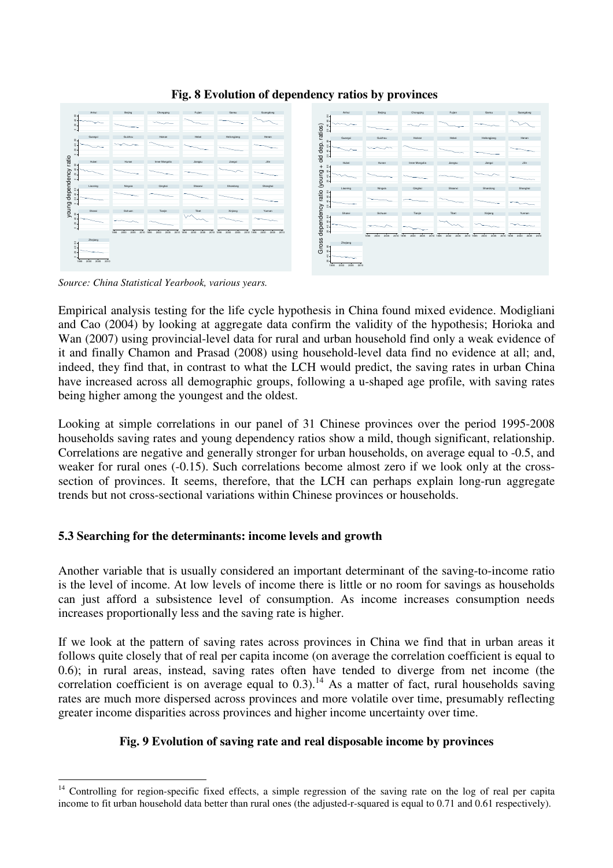

## **Fig. 8 Evolution of dependency ratios by provinces**

*Source: China Statistical Yearbook, various years.* 

Empirical analysis testing for the life cycle hypothesis in China found mixed evidence. Modigliani and Cao (2004) by looking at aggregate data confirm the validity of the hypothesis; Horioka and Wan (2007) using provincial-level data for rural and urban household find only a weak evidence of it and finally Chamon and Prasad (2008) using household-level data find no evidence at all; and, indeed, they find that, in contrast to what the LCH would predict, the saving rates in urban China have increased across all demographic groups, following a u-shaped age profile, with saving rates being higher among the youngest and the oldest.

Looking at simple correlations in our panel of 31 Chinese provinces over the period 1995-2008 households saving rates and young dependency ratios show a mild, though significant, relationship. Correlations are negative and generally stronger for urban households, on average equal to -0.5, and weaker for rural ones (-0.15). Such correlations become almost zero if we look only at the crosssection of provinces. It seems, therefore, that the LCH can perhaps explain long-run aggregate trends but not cross-sectional variations within Chinese provinces or households.

## **5.3 Searching for the determinants: income levels and growth**

Another variable that is usually considered an important determinant of the saving-to-income ratio is the level of income. At low levels of income there is little or no room for savings as households can just afford a subsistence level of consumption. As income increases consumption needs increases proportionally less and the saving rate is higher.

If we look at the pattern of saving rates across provinces in China we find that in urban areas it follows quite closely that of real per capita income (on average the correlation coefficient is equal to 0.6); in rural areas, instead, saving rates often have tended to diverge from net income (the correlation coefficient is on average equal to  $0.3$ ).<sup>14</sup> As a matter of fact, rural households saving rates are much more dispersed across provinces and more volatile over time, presumably reflecting greater income disparities across provinces and higher income uncertainty over time.

## **Fig. 9 Evolution of saving rate and real disposable income by provinces**

 $\overline{a}$ <sup>14</sup> Controlling for region-specific fixed effects, a simple regression of the saving rate on the log of real per capita income to fit urban household data better than rural ones (the adjusted-r-squared is equal to 0.71 and 0.61 respectively).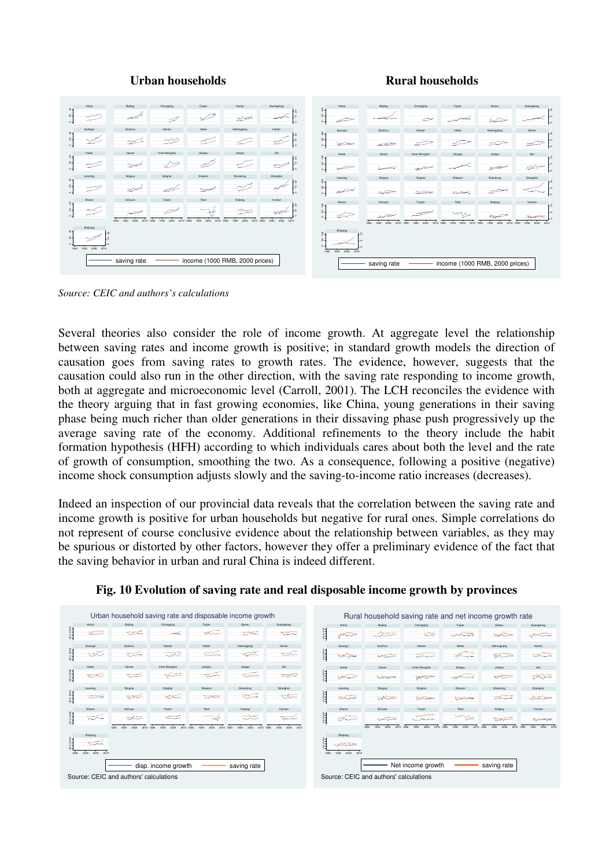#### **Urban households Rural households**



*Source: CEIC and authors's calculations* 

Several theories also consider the role of income growth. At aggregate level the relationship between saving rates and income growth is positive; in standard growth models the direction of causation goes from saving rates to growth rates. The evidence, however, suggests that the causation could also run in the other direction, with the saving rate responding to income growth, both at aggregate and microeconomic level (Carroll, 2001). The LCH reconciles the evidence with the theory arguing that in fast growing economies, like China, young generations in their saving phase being much richer than older generations in their dissaving phase push progressively up the average saving rate of the economy. Additional refinements to the theory include the habit formation hypothesis (HFH) according to which individuals cares about both the level and the rate of growth of consumption, smoothing the two. As a consequence, following a positive (negative) income shock consumption adjusts slowly and the saving-to-income ratio increases (decreases).

Indeed an inspection of our provincial data reveals that the correlation between the saving rate and income growth is positive for urban households but negative for rural ones. Simple correlations do not represent of course conclusive evidence about the relationship between variables, as they may be spurious or distorted by other factors, however they offer a preliminary evidence of the fact that the saving behavior in urban and rural China is indeed different.



**Fig. 10 Evolution of saving rate and real disposable income growth by provinces**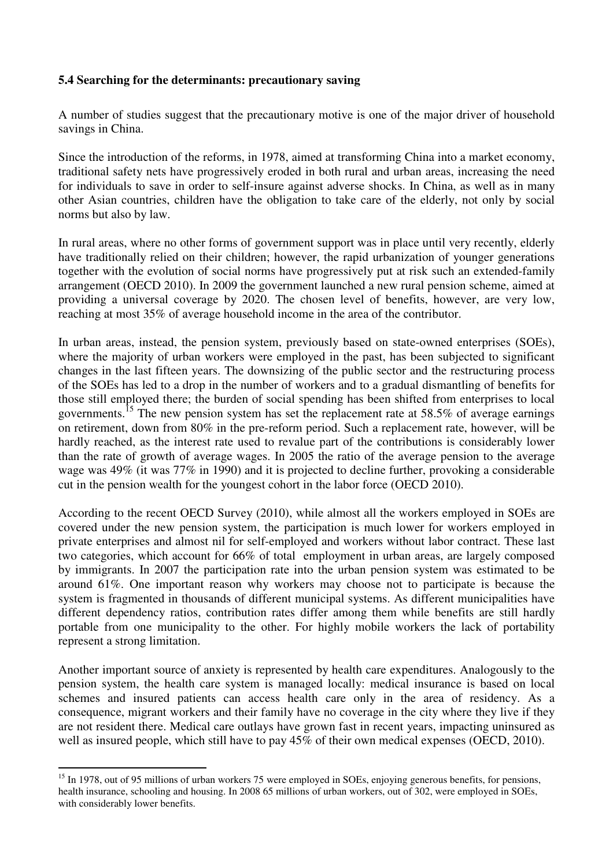## **5.4 Searching for the determinants: precautionary saving**

A number of studies suggest that the precautionary motive is one of the major driver of household savings in China.

Since the introduction of the reforms, in 1978, aimed at transforming China into a market economy, traditional safety nets have progressively eroded in both rural and urban areas, increasing the need for individuals to save in order to self-insure against adverse shocks. In China, as well as in many other Asian countries, children have the obligation to take care of the elderly, not only by social norms but also by law.

In rural areas, where no other forms of government support was in place until very recently, elderly have traditionally relied on their children; however, the rapid urbanization of younger generations together with the evolution of social norms have progressively put at risk such an extended-family arrangement (OECD 2010). In 2009 the government launched a new rural pension scheme, aimed at providing a universal coverage by 2020. The chosen level of benefits, however, are very low, reaching at most 35% of average household income in the area of the contributor.

In urban areas, instead, the pension system, previously based on state-owned enterprises (SOEs), where the majority of urban workers were employed in the past, has been subjected to significant changes in the last fifteen years. The downsizing of the public sector and the restructuring process of the SOEs has led to a drop in the number of workers and to a gradual dismantling of benefits for those still employed there; the burden of social spending has been shifted from enterprises to local governments.<sup>15</sup> The new pension system has set the replacement rate at 58.5% of average earnings on retirement, down from 80% in the pre-reform period. Such a replacement rate, however, will be hardly reached, as the interest rate used to revalue part of the contributions is considerably lower than the rate of growth of average wages. In 2005 the ratio of the average pension to the average wage was 49% (it was 77% in 1990) and it is projected to decline further, provoking a considerable cut in the pension wealth for the youngest cohort in the labor force (OECD 2010).

According to the recent OECD Survey (2010), while almost all the workers employed in SOEs are covered under the new pension system, the participation is much lower for workers employed in private enterprises and almost nil for self-employed and workers without labor contract. These last two categories, which account for 66% of total employment in urban areas, are largely composed by immigrants. In 2007 the participation rate into the urban pension system was estimated to be around 61%. One important reason why workers may choose not to participate is because the system is fragmented in thousands of different municipal systems. As different municipalities have different dependency ratios, contribution rates differ among them while benefits are still hardly portable from one municipality to the other. For highly mobile workers the lack of portability represent a strong limitation.

Another important source of anxiety is represented by health care expenditures. Analogously to the pension system, the health care system is managed locally: medical insurance is based on local schemes and insured patients can access health care only in the area of residency. As a consequence, migrant workers and their family have no coverage in the city where they live if they are not resident there. Medical care outlays have grown fast in recent years, impacting uninsured as well as insured people, which still have to pay 45% of their own medical expenses (OECD, 2010).

 $\overline{a}$ 

 $15$  In 1978, out of 95 millions of urban workers 75 were employed in SOEs, enjoying generous benefits, for pensions, health insurance, schooling and housing. In 2008 65 millions of urban workers, out of 302, were employed in SOEs, with considerably lower benefits.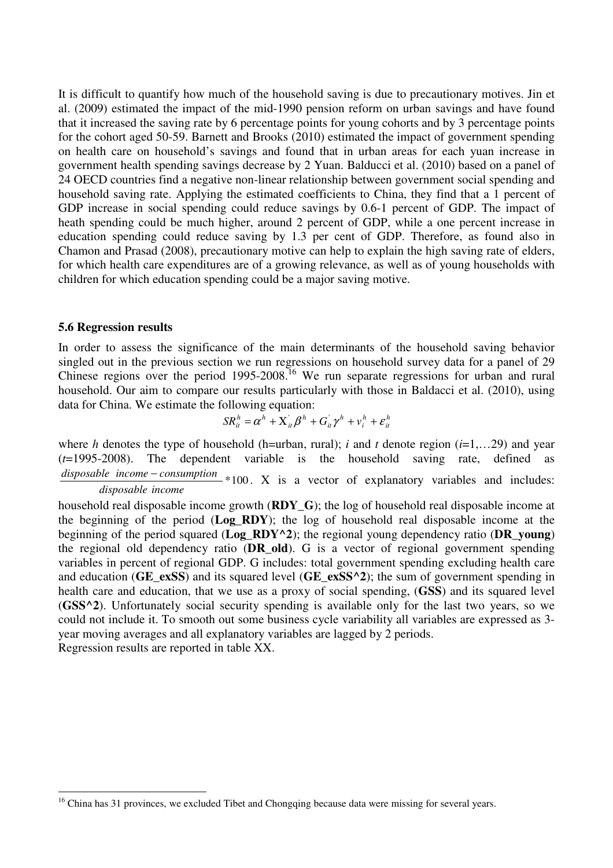It is difficult to quantify how much of the household saving is due to precautionary motives. Jin et al. (2009) estimated the impact of the mid-1990 pension reform on urban savings and have found that it increased the saving rate by 6 percentage points for young cohorts and by 3 percentage points for the cohort aged 50-59. Barnett and Brooks (2010) estimated the impact of government spending on health care on household's savings and found that in urban areas for each yuan increase in government health spending savings decrease by 2 Yuan. Balducci et al. (2010) based on a panel of 24 OECD countries find a negative non-linear relationship between government social spending and household saving rate. Applying the estimated coefficients to China, they find that a 1 percent of GDP increase in social spending could reduce savings by 0.6-1 percent of GDP. The impact of heath spending could be much higher, around 2 percent of GDP, while a one percent increase in education spending could reduce saving by 1.3 per cent of GDP. Therefore, as found also in Chamon and Prasad (2008), precautionary motive can help to explain the high saving rate of elders, for which health care expenditures are of a growing relevance, as well as of young households with children for which education spending could be a major saving motive.

## **5.6 Regression results**

 $\overline{a}$ 

In order to assess the significance of the main determinants of the household saving behavior singled out in the previous section we run regressions on household survey data for a panel of 29 Chinese regions over the period 1995-2008.<sup>16</sup> We run separate regressions for urban and rural household. Our aim to compare our results particularly with those in Baldacci et al. (2010), using data for China. We estimate the following equation:

$$
SR_{it}^h = \alpha^h + \mathbf{X}_{it}^{\dagger} \beta^h + G_{it}^{\dagger} \gamma^h + v_i^h + \varepsilon_{it}^h
$$

where *h* denotes the type of household (h=urban, rural); *i* and *t* denote region ( $i=1,...29$ ) and year (*t*=1995-2008). The dependent variable is the household saving rate, defined as *disposable income − consumption* \*100. X is a vector of explanatory variables and includes: *disposable income*

household real disposable income growth (**RDY\_G**); the log of household real disposable income at the beginning of the period (**Log\_RDY**); the log of household real disposable income at the beginning of the period squared (**Log\_RDY^2**); the regional young dependency ratio (**DR\_young**) the regional old dependency ratio (**DR\_old**). G is a vector of regional government spending variables in percent of regional GDP. G includes: total government spending excluding health care and education (**GE\_exSS**) and its squared level (**GE\_exSS^2**); the sum of government spending in health care and education, that we use as a proxy of social spending, (**GSS**) and its squared level (**GSS^2**). Unfortunately social security spending is available only for the last two years, so we could not include it. To smooth out some business cycle variability all variables are expressed as 3 year moving averages and all explanatory variables are lagged by 2 periods. Regression results are reported in table XX.

<sup>&</sup>lt;sup>16</sup> China has 31 provinces, we excluded Tibet and Chongqing because data were missing for several years.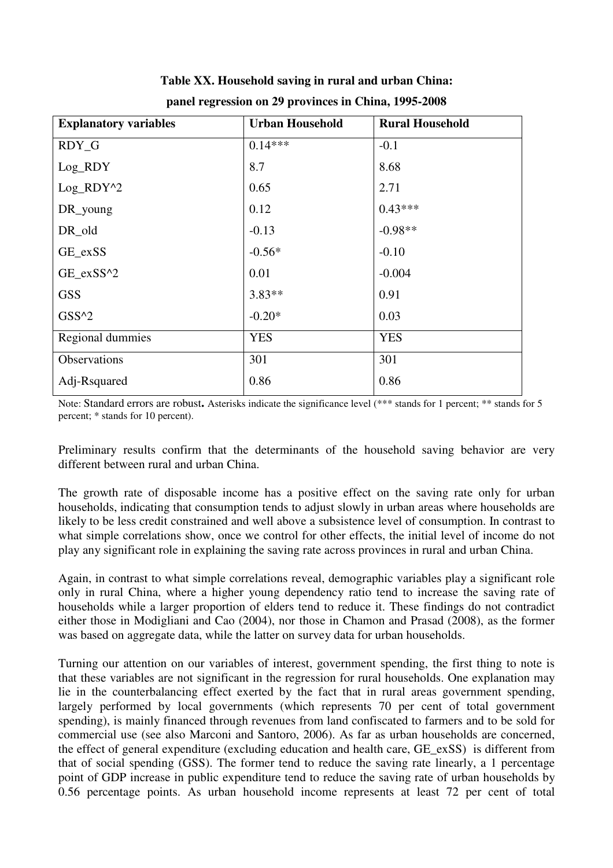| <b>Explanatory variables</b> | <b>Urban Household</b> | <b>Rural Household</b> |  |  |
|------------------------------|------------------------|------------------------|--|--|
| RDY_G                        | $0.14***$              | $-0.1$                 |  |  |
| Log_RDY                      | 8.7                    | 8.68                   |  |  |
| Log_RDY^2                    | 0.65                   | 2.71                   |  |  |
| DR_young                     | 0.12                   | $0.43***$              |  |  |
| DR_old                       | $-0.13$                | $-0.98**$              |  |  |
| GE_exSS                      | $-0.56*$               | $-0.10$                |  |  |
| GE_exSS^2                    | 0.01                   | $-0.004$               |  |  |
| <b>GSS</b>                   | $3.83**$               | 0.91                   |  |  |
| $GSS^2$                      | $-0.20*$               | 0.03                   |  |  |
| Regional dummies             | <b>YES</b>             | <b>YES</b>             |  |  |
| Observations                 | 301                    | 301                    |  |  |
| Adj-Rsquared                 | 0.86                   | 0.86                   |  |  |

**Table XX. Household saving in rural and urban China: panel regression on 29 provinces in China, 1995-2008** 

Note: Standard errors are robust**.** Asterisks indicate the significance level (\*\*\* stands for 1 percent; \*\* stands for 5 percent; \* stands for 10 percent).

Preliminary results confirm that the determinants of the household saving behavior are very different between rural and urban China.

The growth rate of disposable income has a positive effect on the saving rate only for urban households, indicating that consumption tends to adjust slowly in urban areas where households are likely to be less credit constrained and well above a subsistence level of consumption. In contrast to what simple correlations show, once we control for other effects, the initial level of income do not play any significant role in explaining the saving rate across provinces in rural and urban China.

Again, in contrast to what simple correlations reveal, demographic variables play a significant role only in rural China, where a higher young dependency ratio tend to increase the saving rate of households while a larger proportion of elders tend to reduce it. These findings do not contradict either those in Modigliani and Cao (2004), nor those in Chamon and Prasad (2008), as the former was based on aggregate data, while the latter on survey data for urban households.

Turning our attention on our variables of interest, government spending, the first thing to note is that these variables are not significant in the regression for rural households. One explanation may lie in the counterbalancing effect exerted by the fact that in rural areas government spending, largely performed by local governments (which represents 70 per cent of total government spending), is mainly financed through revenues from land confiscated to farmers and to be sold for commercial use (see also Marconi and Santoro, 2006). As far as urban households are concerned, the effect of general expenditure (excluding education and health care, GE\_exSS) is different from that of social spending (GSS). The former tend to reduce the saving rate linearly, a 1 percentage point of GDP increase in public expenditure tend to reduce the saving rate of urban households by 0.56 percentage points. As urban household income represents at least 72 per cent of total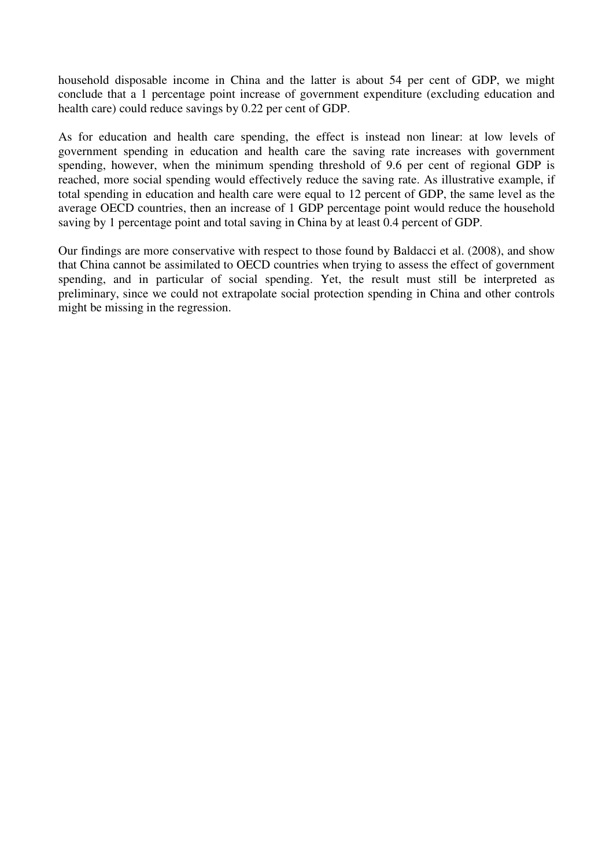household disposable income in China and the latter is about 54 per cent of GDP, we might conclude that a 1 percentage point increase of government expenditure (excluding education and health care) could reduce savings by 0.22 per cent of GDP.

As for education and health care spending, the effect is instead non linear: at low levels of government spending in education and health care the saving rate increases with government spending, however, when the minimum spending threshold of 9.6 per cent of regional GDP is reached, more social spending would effectively reduce the saving rate. As illustrative example, if total spending in education and health care were equal to 12 percent of GDP, the same level as the average OECD countries, then an increase of 1 GDP percentage point would reduce the household saving by 1 percentage point and total saving in China by at least 0.4 percent of GDP.

Our findings are more conservative with respect to those found by Baldacci et al. (2008), and show that China cannot be assimilated to OECD countries when trying to assess the effect of government spending, and in particular of social spending. Yet, the result must still be interpreted as preliminary, since we could not extrapolate social protection spending in China and other controls might be missing in the regression.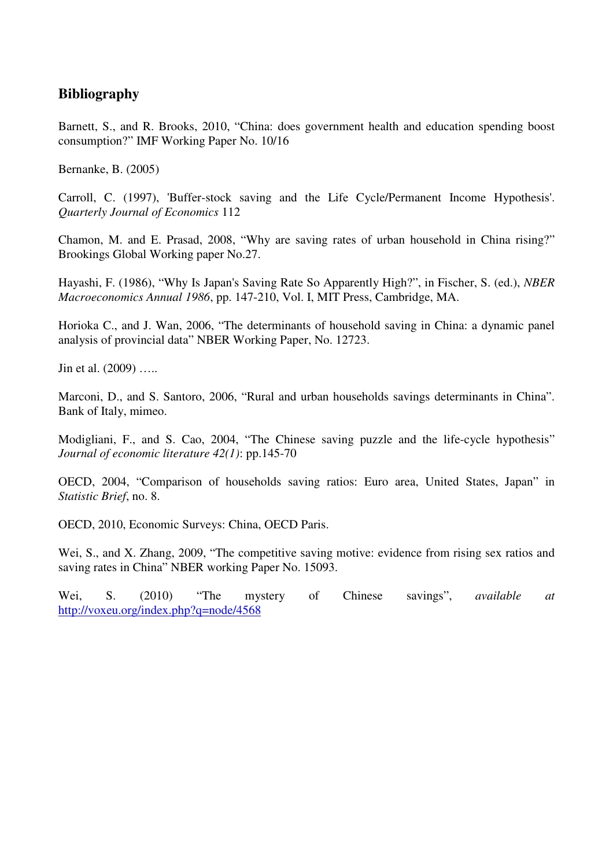## **Bibliography**

Barnett, S., and R. Brooks, 2010, "China: does government health and education spending boost consumption?" IMF Working Paper No. 10/16

Bernanke, B. (2005)

Carroll, C. (1997), 'Buffer-stock saving and the Life Cycle/Permanent Income Hypothesis'. *Quarterly Journal of Economics* 112

Chamon, M. and E. Prasad, 2008, "Why are saving rates of urban household in China rising?" Brookings Global Working paper No.27.

Hayashi, F. (1986), "Why Is Japan's Saving Rate So Apparently High?", in Fischer, S. (ed.), *NBER Macroeconomics Annual 1986*, pp. 147-210, Vol. I, MIT Press, Cambridge, MA.

Horioka C., and J. Wan, 2006, "The determinants of household saving in China: a dynamic panel analysis of provincial data" NBER Working Paper, No. 12723.

Jin et al. (2009) …..

Marconi, D., and S. Santoro, 2006, "Rural and urban households savings determinants in China". Bank of Italy, mimeo.

Modigliani, F., and S. Cao, 2004, "The Chinese saving puzzle and the life-cycle hypothesis" *Journal of economic literature 42(1)*: pp.145-70

OECD, 2004, "Comparison of households saving ratios: Euro area, United States, Japan" in *Statistic Brief*, no. 8.

OECD, 2010, Economic Surveys: China, OECD Paris.

Wei, S., and X. Zhang, 2009, "The competitive saving motive: evidence from rising sex ratios and saving rates in China" NBER working Paper No. 15093.

Wei, S. (2010) "The mystery of Chinese savings", *available at* http://voxeu.org/index.php?q=node/4568